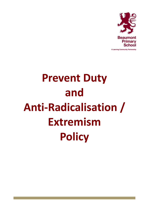

**Prevent Duty and Anti-Radicalisation / Extremism Policy**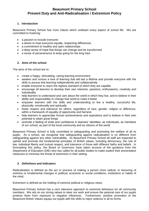# **Beaumont Primary School Prevent Duty and Anti-Radicalisation / Extremism Policy**

# **1. Introduction**

Beaumont Primary School has Core Values which underpin every aspect of school life. We are committed to fostering:

- a passion to include everyone
- a desire to treat everyone equally, respecting differences
- a commitment to healthy and open relationships
- a deep sense of hope that things can change and be transformed
- a sense of perseverance to keep going for the long haul

### **2. Aims of the school**

The aims of the school are to:

- create a happy, stimulating, caring learning environment
- awaken and nurture a love of learning that will last a lifetime and provide everyone with the skills to pursue that learning independently and collaboratively
- enable everyone to reach the highest standard of which they are capable
- encourage all learners to develop their own interests, passions, enthusiasms, creativity and individuality
- help learners to understand and care about the world in which they live, and to believe in their ability and responsibility to change that world to make it better
- empower learners with the skills and understanding to live a healthy, successful life, physically, emotionally and spiritually
- foster respect and tolerance for others, regardless of race, gender, religion or difference, within a framework of equality of opportunity and fairness
- help learners to appreciate human achievements and aspirations and to believe in their own potential to attain great things
- promote a feeling of pride and confidence in learners' identities; as individuals, as members of our school, as part of the local community and as citizens of the world

Beaumont Primary School is fully committed to safeguarding and promoting the welfare of all its pupils. As a school, we recognise that safeguarding against radicalisation is no different from safeguarding against any other vulnerability. As Beaumont Primary School all staff are expected to uphold and promote the fundamental principles of British values, including democracy, the rule of law, individual liberty and mutual respect, and tolerance of those with different faiths and beliefs. In formulating this policy, the Board of Governors have taken account of the guidance from the Department of Education (DfE) who has called for all public bodies to make explicit their preventative measures to minimise the threat of extremism in their setting.

# **3. Definitions and Indicators**

Radicalisation is defined as the act or process of making a person more radical; or favouring of extreme or fundamental changes in political, economic or social conditions, institutions or habits of the mind.

Extremism is defined as the holding of extreme political or religious views.

Beaumont Primary School has a zero tolerance approach to extremist behaviour for all community members. We rely on our strong values to steer our work and ensure the pastoral care of our pupils protects them from exposure to negative influences. Furthermore, positive promotion of the Beaumont British Values equips our pupils with the skills to reject violence in all its forms.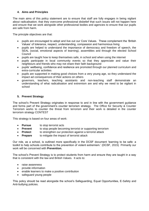# **4. Aims and Principles**

The main aims of this policy statement are to ensure that staff are fully engages in being vigilant about radicalisation; that they overcome professional disbelief that such issues will not happen here and ensure that we work alongside other professional bodies and agencies to ensure that our pupils are safe from harm.

The principle objectives are that:

- pupils are encouraged to adopt and live out our Core Values. These complement the 'British Values' of tolerance, respect, understanding, compassion and harmonious living
- pupils are helped to understand the importance of democracy and freedom of speech, the SEAL (social, emotional aspects of learning), assemblies and through the elected School Council
- pupils are taught how to keep themselves safe, in school and when using the internet
- pupils participate in local community events so that they appreciate and value their neighbours and friends who may not share their faith background
- pupils' wellbeing, confidence and resilience are promoted through our planned curriculum and extra-curricular activities
- pupils are supported in making good choices from a very young age, so they understand the impact ad consequences of their actions on others
- governors, teachers, teaching assistants and non-teaching staff demonstrate an understanding of what radicalisation and extremism are and why we need to be vigilant in school

# **5. Prevent Strategy**

The school's Prevent Strategy originates in response to and in line with the government guidance and forms part of the government's counter terrorism strategy. The Office for Security & Counter Terrorism works to counter the threat from terrorism and their work is detailed in the counter terrorism strategy CONTEST

This strategy is based on four areas of work:

- **Pursue** to stop terrorist acts
- **Prevent** to stop people becoming terrorist or supporting terrorism
- **Protect** to strengthen our protection against a terrorist attack
- **Prepare** to mitigate the impact of terrorist attack

Our role, as a school, is outlined more specifically in the DCSF document 'learning to be safe: a toolkit to help schools contribute to the prevention of violent extremism.' (DCSF, 2015) Primarily our work will be concerned with **Prevention.**

The school's Prevent Strategy is to protect students from harm and ensure they are taught in a way that is consistent with the law and British Values. It acts to:

- raise awareness
- provide information
- enable learners to make a positive contribution
- safeguard young people

This policy should be read alongside the school's Safeguarding, Equal Opportunities, E-Safety and Anti-bullying policies.